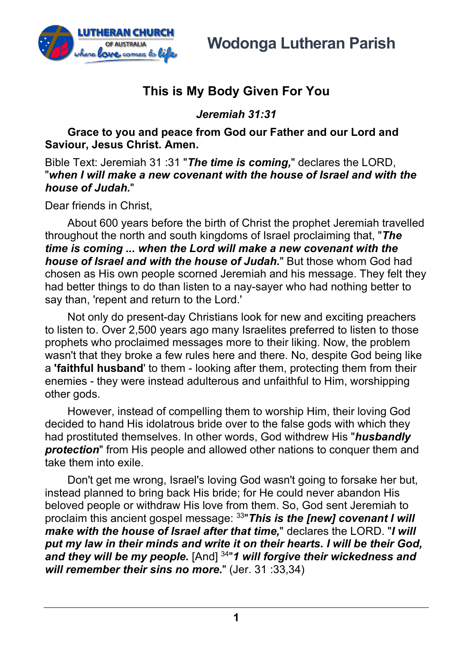

**Wodonga Lutheran Parish**

## **This is My Body Given For You**

*Jeremiah 31:31*

**Grace to you and peace from God our Father and our Lord and Saviour, Jesus Christ. Amen.**

Bible Text: Jeremiah 31 :31 "*The time is coming,*" declares the LORD, "*when I will make a new covenant with the house of Israel and with the house of Judah.*"

Dear friends in Christ,

About 600 years before the birth of Christ the prophet Jeremiah travelled throughout the north and south kingdoms of Israel proclaiming that, "*The time is coming ... when the Lord will make a new covenant with the house of Israel and with the house of Judah.*" But those whom God had chosen as His own people scorned Jeremiah and his message. They felt they had better things to do than listen to a nay-sayer who had nothing better to say than, 'repent and return to the Lord.'

Not only do present-day Christians look for new and exciting preachers to listen to. Over 2,500 years ago many Israelites preferred to listen to those prophets who proclaimed messages more to their liking. Now, the problem wasn't that they broke a few rules here and there. No, despite God being like a **'faithful husband**' to them - looking after them, protecting them from their enemies - they were instead adulterous and unfaithful to Him, worshipping other gods.

However, instead of compelling them to worship Him, their loving God decided to hand His idolatrous bride over to the false gods with which they had prostituted themselves. In other words, God withdrew His "*husbandly protection*" from His people and allowed other nations to conquer them and take them into exile.

Don't get me wrong, Israel's loving God wasn't going to forsake her but, instead planned to bring back His bride; for He could never abandon His beloved people or withdraw His love from them. So, God sent Jeremiah to proclaim this ancient gospel message: 33"*This is the [new] covenant I will make with the house of Israel after that time,*" declares the LORD. "*I will put my law in their minds and write it on their hearts. I will be their God, and they will be my people.* [And] 34"*1 will forgive their wickedness and will remember their sins no more.*" (Jer. 31 :33,34)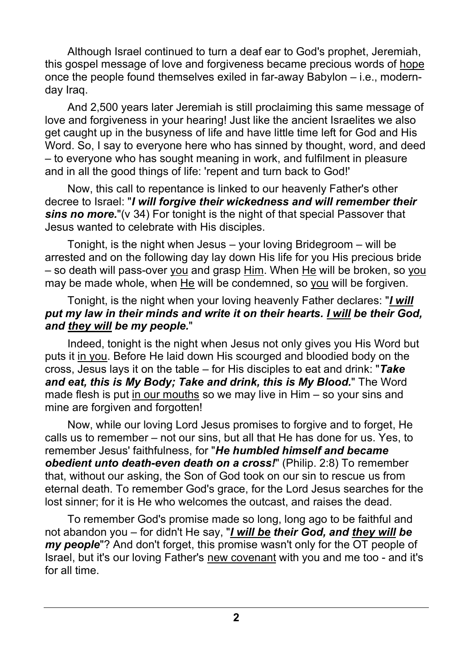Although Israel continued to turn a deaf ear to God's prophet, Jeremiah, this gospel message of love and forgiveness became precious words of hope once the people found themselves exiled in far-away Babylon – i.e., modernday Iraq.

And 2,500 years later Jeremiah is still proclaiming this same message of love and forgiveness in your hearing! Just like the ancient Israelites we also get caught up in the busyness of life and have little time left for God and His Word. So, I say to everyone here who has sinned by thought, word, and deed – to everyone who has sought meaning in work, and fulfilment in pleasure and in all the good things of life: 'repent and turn back to God!'

Now, this call to repentance is linked to our heavenly Father's other decree to Israel: "*I will forgive their wickedness and will remember their sins no more.*"(v 34) For tonight is the night of that special Passover that Jesus wanted to celebrate with His disciples.

Tonight, is the night when Jesus – your loving Bridegroom – will be arrested and on the following day lay down His life for you His precious bride – so death will pass-over you and grasp Him. When He will be broken, so you may be made whole, when He will be condemned, so you will be forgiven.

## Tonight, is the night when your loving heavenly Father declares: "*I will put my law in their minds and write it on their hearts. I will be their God, and they will be my people.*"

Indeed, tonight is the night when Jesus not only gives you His Word but puts it in you. Before He laid down His scourged and bloodied body on the cross, Jesus lays it on the table – for His disciples to eat and drink: "*Take and eat, this is My Body; Take and drink, this is My Blood.*" The Word made flesh is put in our mouths so we may live in Him – so your sins and mine are forgiven and forgotten!

Now, while our loving Lord Jesus promises to forgive and to forget, He calls us to remember – not our sins, but all that He has done for us. Yes, to remember Jesus' faithfulness, for "*He humbled himself and became obedient unto death-even death on a cross!*" (Philip. 2:8) To remember that, without our asking, the Son of God took on our sin to rescue us from eternal death. To remember God's grace, for the Lord Jesus searches for the lost sinner; for it is He who welcomes the outcast, and raises the dead.

To remember God's promise made so long, long ago to be faithful and not abandon you – for didn't He say, "*I will be their God, and they will be my people*"? And don't forget, this promise wasn't only for the OT people of Israel, but it's our loving Father's new covenant with you and me too - and it's for all time.